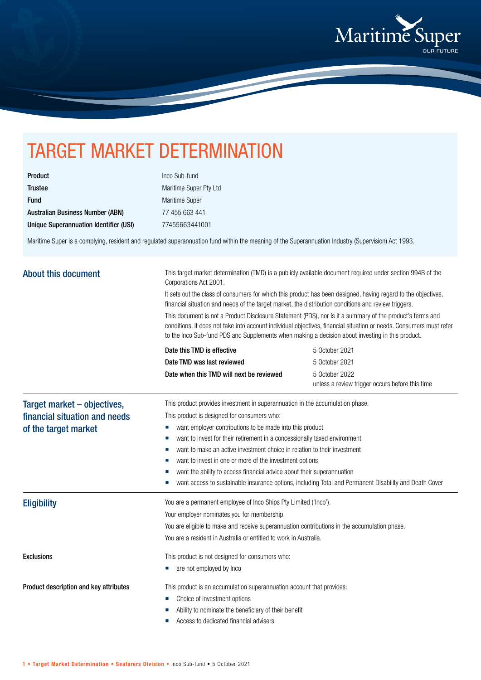

## TARGET MARKET DETERMINATION

| <b>Product</b>                          |
|-----------------------------------------|
| <b>Trustee</b>                          |
| <b>Fund</b>                             |
| <b>Australian Business Number (ABN)</b> |
| Unique Superannuation Identifier (USI)  |

Inco Sub-fund Maritime Super Pty Ltd Maritime Super 77 455 663 441 Unique Superannuation Identifier (USI) 77455663441001

Maritime Super is a complying, resident and regulated superannuation fund within the meaning of the Superannuation Industry (Supervision) Act 1993.

| <b>About this document</b>                                                                                                        | This target market determination (TMD) is a publicly available document required under section 994B of the<br>Corporations Act 2001.<br>It sets out the class of consumers for which this product has been designed, having regard to the objectives,<br>financial situation and needs of the target market, the distribution conditions and review triggers.<br>This document is not a Product Disclosure Statement (PDS), nor is it a summary of the product's terms and<br>conditions. It does not take into account individual objectives, financial situation or needs. Consumers must refer<br>to the Inco Sub-fund PDS and Supplements when making a decision about investing in this product. |                                                                               |  |                            |                |
|-----------------------------------------------------------------------------------------------------------------------------------|-------------------------------------------------------------------------------------------------------------------------------------------------------------------------------------------------------------------------------------------------------------------------------------------------------------------------------------------------------------------------------------------------------------------------------------------------------------------------------------------------------------------------------------------------------------------------------------------------------------------------------------------------------------------------------------------------------|-------------------------------------------------------------------------------|--|----------------------------|----------------|
|                                                                                                                                   |                                                                                                                                                                                                                                                                                                                                                                                                                                                                                                                                                                                                                                                                                                       |                                                                               |  | Date this TMD is effective | 5 October 2021 |
|                                                                                                                                   |                                                                                                                                                                                                                                                                                                                                                                                                                                                                                                                                                                                                                                                                                                       |                                                                               |  | Date TMD was last reviewed | 5 October 2021 |
|                                                                                                                                   | Date when this TMD will next be reviewed                                                                                                                                                                                                                                                                                                                                                                                                                                                                                                                                                                                                                                                              | 5 October 2022<br>unless a review trigger occurs before this time             |  |                            |                |
|                                                                                                                                   | Target market - objectives,                                                                                                                                                                                                                                                                                                                                                                                                                                                                                                                                                                                                                                                                           | This product provides investment in superannuation in the accumulation phase. |  |                            |                |
|                                                                                                                                   | financial situation and needs<br>of the target market                                                                                                                                                                                                                                                                                                                                                                                                                                                                                                                                                                                                                                                 | This product is designed for consumers who:                                   |  |                            |                |
| want employer contributions to be made into this product<br>ш                                                                     |                                                                                                                                                                                                                                                                                                                                                                                                                                                                                                                                                                                                                                                                                                       |                                                                               |  |                            |                |
| want to invest for their retirement in a concessionally taxed environment<br>ш                                                    |                                                                                                                                                                                                                                                                                                                                                                                                                                                                                                                                                                                                                                                                                                       |                                                                               |  |                            |                |
| want to make an active investment choice in relation to their investment                                                          |                                                                                                                                                                                                                                                                                                                                                                                                                                                                                                                                                                                                                                                                                                       |                                                                               |  |                            |                |
| want to invest in one or more of the investment options<br>want the ability to access financial advice about their superannuation |                                                                                                                                                                                                                                                                                                                                                                                                                                                                                                                                                                                                                                                                                                       |                                                                               |  |                            |                |
| want access to sustainable insurance options, including Total and Permanent Disability and Death Cover                            |                                                                                                                                                                                                                                                                                                                                                                                                                                                                                                                                                                                                                                                                                                       |                                                                               |  |                            |                |
| <b>Eligibility</b>                                                                                                                | You are a permanent employee of Inco Ships Pty Limited ('Inco').                                                                                                                                                                                                                                                                                                                                                                                                                                                                                                                                                                                                                                      |                                                                               |  |                            |                |
|                                                                                                                                   | Your employer nominates you for membership.                                                                                                                                                                                                                                                                                                                                                                                                                                                                                                                                                                                                                                                           |                                                                               |  |                            |                |
|                                                                                                                                   | You are eligible to make and receive superannuation contributions in the accumulation phase.                                                                                                                                                                                                                                                                                                                                                                                                                                                                                                                                                                                                          |                                                                               |  |                            |                |
|                                                                                                                                   | You are a resident in Australia or entitled to work in Australia.                                                                                                                                                                                                                                                                                                                                                                                                                                                                                                                                                                                                                                     |                                                                               |  |                            |                |
| <b>Exclusions</b>                                                                                                                 | This product is not designed for consumers who:                                                                                                                                                                                                                                                                                                                                                                                                                                                                                                                                                                                                                                                       |                                                                               |  |                            |                |
|                                                                                                                                   | are not employed by Inco                                                                                                                                                                                                                                                                                                                                                                                                                                                                                                                                                                                                                                                                              |                                                                               |  |                            |                |
| Product description and key attributes                                                                                            | This product is an accumulation superannuation account that provides:                                                                                                                                                                                                                                                                                                                                                                                                                                                                                                                                                                                                                                 |                                                                               |  |                            |                |
|                                                                                                                                   | Choice of investment options                                                                                                                                                                                                                                                                                                                                                                                                                                                                                                                                                                                                                                                                          |                                                                               |  |                            |                |
|                                                                                                                                   | Ability to nominate the beneficiary of their benefit                                                                                                                                                                                                                                                                                                                                                                                                                                                                                                                                                                                                                                                  |                                                                               |  |                            |                |
|                                                                                                                                   | Access to dedicated financial advisers                                                                                                                                                                                                                                                                                                                                                                                                                                                                                                                                                                                                                                                                |                                                                               |  |                            |                |
|                                                                                                                                   |                                                                                                                                                                                                                                                                                                                                                                                                                                                                                                                                                                                                                                                                                                       |                                                                               |  |                            |                |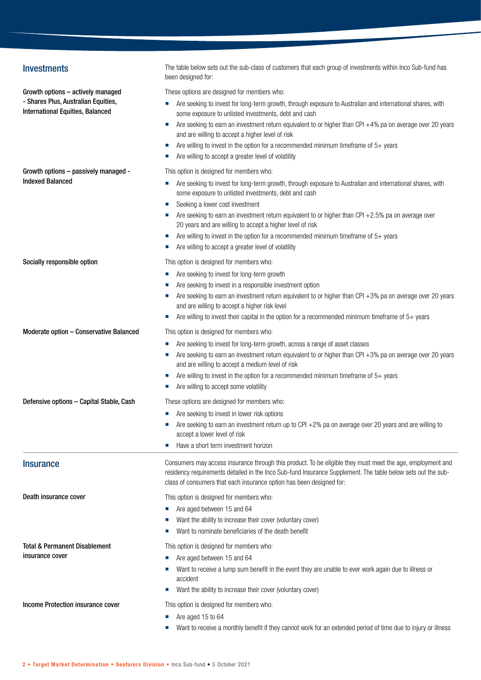| <b>Investments</b>                                                             | The table below sets out the sub-class of customers that each group of investments within Inco Sub-fund has<br>been designed for:                                                                                                                                                                                                                                                                                                                                                       |
|--------------------------------------------------------------------------------|-----------------------------------------------------------------------------------------------------------------------------------------------------------------------------------------------------------------------------------------------------------------------------------------------------------------------------------------------------------------------------------------------------------------------------------------------------------------------------------------|
| Growth options - actively managed                                              | These options are designed for members who:                                                                                                                                                                                                                                                                                                                                                                                                                                             |
| - Shares Plus, Australian Equities,<br><b>International Equities, Balanced</b> | Are seeking to invest for long-term growth, through exposure to Australian and international shares, with<br>some exposure to unlisted investments, debt and cash<br>Are seeking to earn an investment return equivalent to or higher than CPI +4% pa on average over 20 years<br>ш<br>and are willing to accept a higher level of risk<br>Are willing to invest in the option for a recommended minimum timeframe of $5+$ years<br>Are willing to accept a greater level of volatility |
| Growth options - passively managed -                                           | This option is designed for members who:                                                                                                                                                                                                                                                                                                                                                                                                                                                |
| <b>Indexed Balanced</b>                                                        | Are seeking to invest for long-term growth, through exposure to Australian and international shares, with<br>ш<br>some exposure to unlisted investments, debt and cash<br>Seeking a lower cost investment<br>×.                                                                                                                                                                                                                                                                         |
|                                                                                | Are seeking to earn an investment return equivalent to or higher than CPI $+2.5%$ pa on average over<br>20 years and are willing to accept a higher level of risk                                                                                                                                                                                                                                                                                                                       |
|                                                                                | Are willing to invest in the option for a recommended minimum timeframe of $5+$ years<br>×.<br>Are willing to accept a greater level of volatility                                                                                                                                                                                                                                                                                                                                      |
| Socially responsible option                                                    | This option is designed for members who:                                                                                                                                                                                                                                                                                                                                                                                                                                                |
|                                                                                | Are seeking to invest for long-term growth                                                                                                                                                                                                                                                                                                                                                                                                                                              |
|                                                                                | Are seeking to invest in a responsible investment option                                                                                                                                                                                                                                                                                                                                                                                                                                |
|                                                                                | Are seeking to earn an investment return equivalent to or higher than CPI +3% pa on average over 20 years<br>and are willing to accept a higher risk level<br>Are willing to invest their capital in the option for a recommended minimum timeframe of $5+$ years                                                                                                                                                                                                                       |
| Moderate option - Conservative Balanced                                        | This option is designed for members who:                                                                                                                                                                                                                                                                                                                                                                                                                                                |
|                                                                                | Are seeking to invest for long-term growth, across a range of asset classes                                                                                                                                                                                                                                                                                                                                                                                                             |
|                                                                                | Are seeking to earn an investment return equivalent to or higher than CPI $+3%$ pa on average over 20 years<br>and are willing to accept a medium level of risk                                                                                                                                                                                                                                                                                                                         |
|                                                                                | Are willing to invest in the option for a recommended minimum timeframe of 5+ years<br>Are willing to accept some volatility                                                                                                                                                                                                                                                                                                                                                            |
| Defensive options - Capital Stable, Cash                                       | These options are designed for members who:                                                                                                                                                                                                                                                                                                                                                                                                                                             |
|                                                                                | • Are seeking to invest in lower risk options                                                                                                                                                                                                                                                                                                                                                                                                                                           |
|                                                                                | Are seeking to earn an investment return up to CPI +2% pa on average over 20 years and are willing to<br>accept a lower level of risk                                                                                                                                                                                                                                                                                                                                                   |
|                                                                                | Have a short term investment horizon<br>×.                                                                                                                                                                                                                                                                                                                                                                                                                                              |
| <b>Insurance</b>                                                               | Consumers may access insurance through this product. To be eligible they must meet the age, employment and<br>residency requirements detailed in the Inco Sub-fund Insurance Supplement. The table below sets out the sub-<br>class of consumers that each insurance option has been designed for:                                                                                                                                                                                      |
| Death insurance cover                                                          | This option is designed for members who:                                                                                                                                                                                                                                                                                                                                                                                                                                                |
|                                                                                | Are aged between 15 and 64                                                                                                                                                                                                                                                                                                                                                                                                                                                              |
|                                                                                | Want the ability to increase their cover (voluntary cover)                                                                                                                                                                                                                                                                                                                                                                                                                              |
|                                                                                | Want to nominate beneficiaries of the death benefit<br>ш                                                                                                                                                                                                                                                                                                                                                                                                                                |
| Total & Permanent Disablement                                                  | This option is designed for members who:                                                                                                                                                                                                                                                                                                                                                                                                                                                |
| insurance cover                                                                | Are aged between 15 and 64                                                                                                                                                                                                                                                                                                                                                                                                                                                              |
|                                                                                | Want to receive a lump sum benefit in the event they are unable to ever work again due to illness or<br>accident                                                                                                                                                                                                                                                                                                                                                                        |
|                                                                                | Want the ability to increase their cover (voluntary cover)                                                                                                                                                                                                                                                                                                                                                                                                                              |
| Income Protection insurance cover                                              | This option is designed for members who:                                                                                                                                                                                                                                                                                                                                                                                                                                                |
|                                                                                | Are aged 15 to 64                                                                                                                                                                                                                                                                                                                                                                                                                                                                       |
|                                                                                | Want to receive a monthly benefit if they cannot work for an extended period of time due to injury or illness                                                                                                                                                                                                                                                                                                                                                                           |